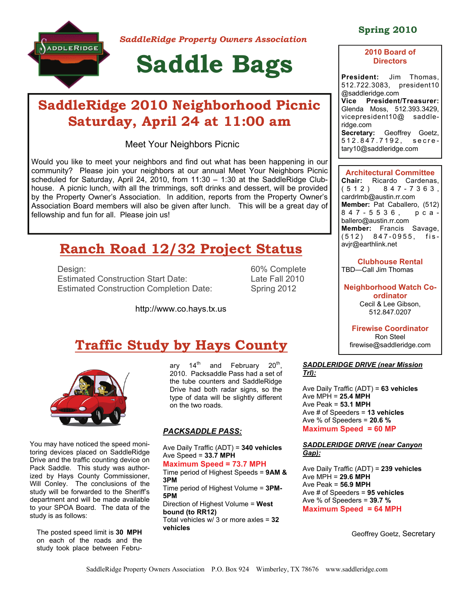

*SaddleRidge Property Owners Association* 

# **Saddle Bags**

# **SaddleRidge 2010 Neighborhood Picnic Saturday, April 24 at 11:00 am**

Meet Your Neighbors Picnic

Would you like to meet your neighbors and find out what has been happening in our community? Please join your neighbors at our annual Meet Your Neighbors Picnic scheduled for Saturday, April 24, 2010, from  $11:30 - 1:30$  at the SaddleRidge Clubhouse. A picnic lunch, with all the trimmings, soft drinks and dessert, will be provided by the Property Owner's Association. In addition, reports from the Property Owner's Association Board members will also be given after lunch. This will be a great day of fellowship and fun for all. Please join us!

# **Ranch Road 12/32 Project Status**

Design: 60% Complete Estimated Construction Start Date: Late Fall 2010 Estimated Construction Completion Date: Spring 2012

http://www.co.hays.tx.us

# **Traffic Study by Hays County**



You may have noticed the speed monitoring devices placed on SaddleRidge Drive and the traffic counting device on Pack Saddle. This study was authorized by Hays County Commissioner, Will Conley. The conclusions of the study will be forwarded to the Sheriff's department and will be made available to your SPOA Board. The data of the study is as follows:

The posted speed limit is **30 MPH** on each of the roads and the study took place between February  $14<sup>th</sup>$  and February  $20<sup>th</sup>$ , 2010. Packsaddle Pass had a set of the tube counters and SaddleRidge Drive had both radar signs, so the type of data will be slightly different on the two roads.

#### *PACKSADDLE PASS:*

Ave Daily Traffic (ADT) = **340 vehicles** Ave Speed = **33.7 MPH** 

**Maximum Speed = 73.7 MPH**  Time period of Highest Speeds = **9AM & 3PM**  Time period of Highest Volume = **3PM-5PM** 

Direction of Highest Volume = **West bound (to RR12)**  Total vehicles w/ 3 or more axles = **32 vehicles**

# **Spring 2010**

### **2010 Board of Directors**

**President:** Jim Thomas, 512.722.3083, president10 @saddleridge.com **Vice President/Treasurer:**  Glenda Moss, 512.393.3429, vicepresident10@ saddleridge.com **Secretary:** Geoffrey Goetz, 512.847.7192, secretary10@saddleridge.com

**Architectural Committee Chair:** Ricardo Cardenas,<br>(512) 847-7363, 8 4 7 - 7 3 6 3, cardrlmb@austin.rr.com **Member:** Pat Caballero, (512) 847-5536, pcaballero@austin.rr.com **Member:** Francis Savage, (512) 847-0955, fisavjr@earthlink.net

**Clubhouse Rental**  TBD—Call Jim Thomas

**Neighborhood Watch Coordinator**  Cecil & Lee Gibson, 512.847.0207

**Firewise Coordinator**  Ron Steel firewise@saddleridge.com

#### *SADDLERIDGE DRIVE (near Mission Trl):*

Ave Daily Traffic (ADT) = **63 vehicles**  Ave MPH = **25.4 MPH**  Ave Peak = **53.1 MPH**  Ave # of Speeders = **13 vehicles**  Ave % of Speeders = **20.6 % Maximum Speed = 60 MP** 

#### *SADDLERIDGE DRIVE (near Canyon Gap):*

Ave Daily Traffic (ADT) = **239 vehicles**  Ave MPH = **29.6 MPH** Ave Peak = **56.9 MPH**  Ave # of Speeders = **95 vehicles**  Ave % of Speeders = **39.7 % Maximum Speed = 64 MPH** 

Geoffrey Goetz, Secretary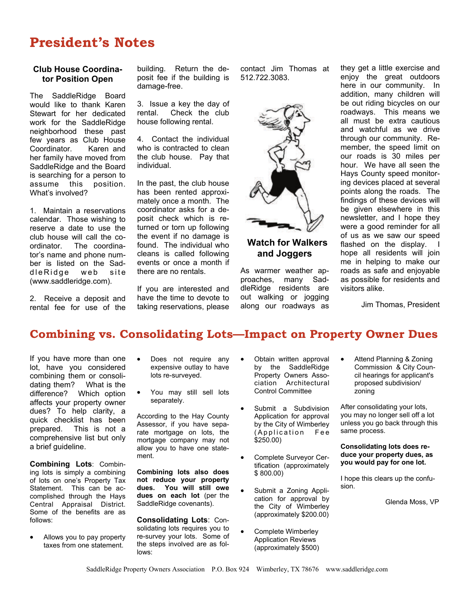# **President's Notes**

### **Club House Coordinator Position Open**

The SaddleRidge Board would like to thank Karen Stewart for her dedicated work for the SaddleRidge neighborhood these past few years as Club House Coordinator. Karen and her family have moved from SaddleRidge and the Board is searching for a person to<br>assume this position. assume this What's involved?

1. Maintain a reservations calendar. Those wishing to reserve a date to use the club house will call the coordinator. The coordinator's name and phone number is listed on the Sadd le Ridge web site (www.saddleridge.com).

2. Receive a deposit and rental fee for use of the

building. Return the deposit fee if the building is damage-free.

3. Issue a key the day of rental. Check the club house following rental.

4. Contact the individual who is contracted to clean the club house. Pay that individual.

In the past, the club house has been rented approximately once a month. The coordinator asks for a deposit check which is returned or torn up following the event if no damage is found. The individual who cleans is called following events or once a month if there are no rentals.

If you are interested and have the time to devote to taking reservations, please contact Jim Thomas at 512.722.3083.



# **Watch for Walkers and Joggers**

As warmer weather approaches, many SaddleRidge residents are out walking or jogging along our roadways as they get a little exercise and enjoy the great outdoors here in our community. In addition, many children will be out riding bicycles on our roadways. This means we all must be extra cautious and watchful as we drive through our community. Remember, the speed limit on our roads is 30 miles per hour. We have all seen the Hays County speed monitoring devices placed at several points along the roads. The findings of these devices will be given elsewhere in this newsletter, and I hope they were a good reminder for all of us as we saw our speed flashed on the display. hope all residents will join me in helping to make our roads as safe and enjoyable as possible for residents and visitors alike.

Jim Thomas, President

# **Combining vs. Consolidating Lots—Impact on Property Owner Dues**

If you have more than one lot, have you considered combining them or consolidating them? What is the difference? Which option affects your property owner dues? To help clarity, a quick checklist has been prepared. This is not a comprehensive list but only a brief guideline.

**Combining Lots**: Combining lots is simply a combining of lots on one's Property Tax Statement. This can be accomplished through the Hays Central Appraisal District. Some of the benefits are as follows:

 Allows you to pay property taxes from one statement.

- Does not require any expensive outlay to have lots re-surveyed.
- You may still sell lots separately.

According to the Hay County Assessor, if you have separate mortgage on lots, the mortgage company may not allow you to have one statement.

**Combining lots also does not reduce your property dues. You will still owe dues on each lot** (per the SaddleRidge covenants).

**Consolidating Lots**: Consolidating lots requires you to re-survey your lots. Some of the steps involved are as follows:

- Obtain written approval by the SaddleRidge Property Owners Association Architectural Control Committee
- Submit a Subdivision Application for approval by the City of Wimberley (Application Fee \$250.00)
- Complete Surveyor Certification (approximately \$ 800.00)
- Submit a Zoning Application for approval by the City of Wimberley (approximately \$200.00)
- Complete Wimberley Application Reviews (approximately \$500)

• Attend Planning & Zoning Commission & City Council hearings for applicant's proposed subdivision/ zoning

After consolidating your lots, you may no longer sell off a lot unless you go back through this same process.

**Consolidating lots does reduce your property dues, as you would pay for one lot.** 

I hope this clears up the confusion.

Glenda Moss, VP